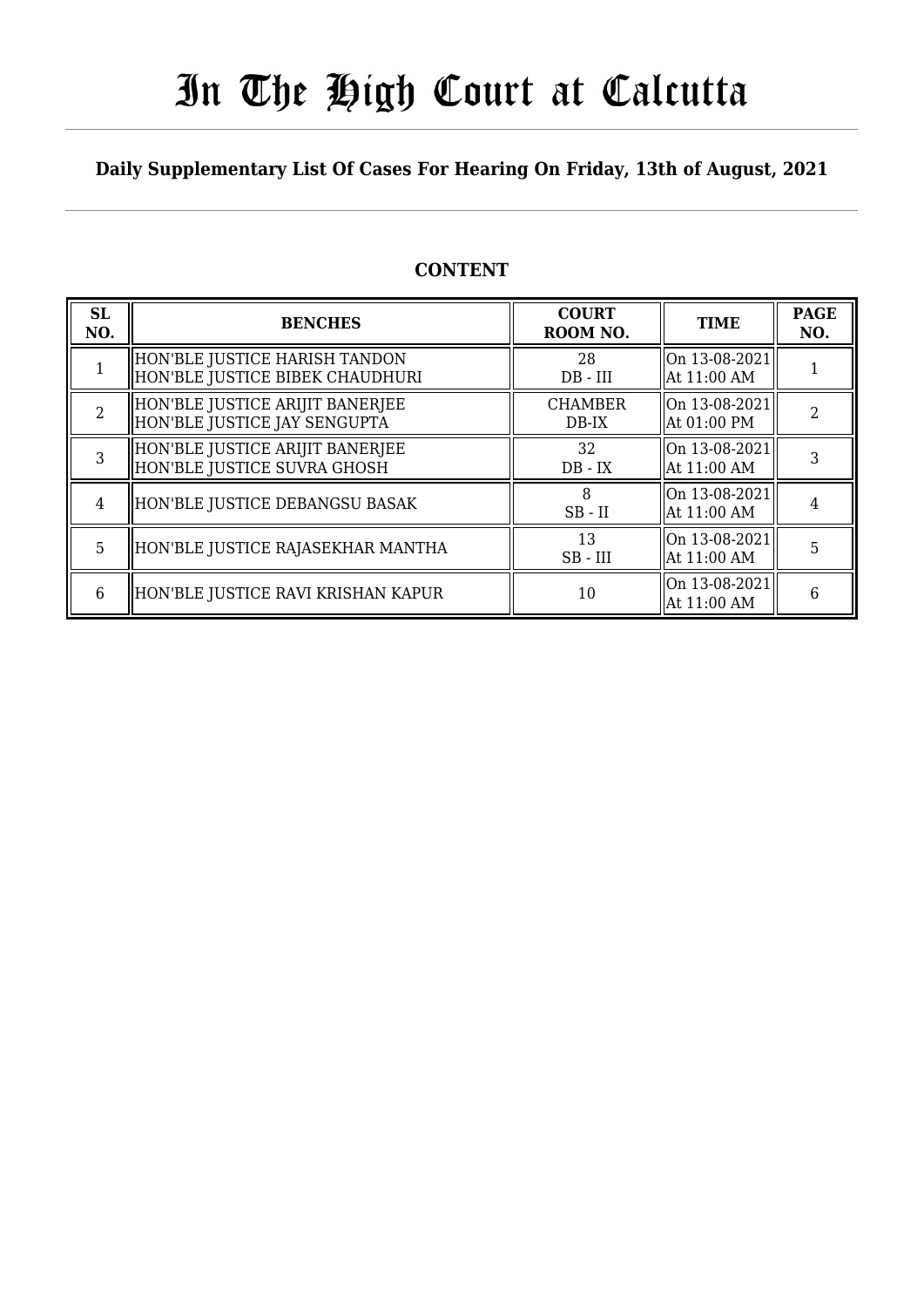# In The High Court at Calcutta

### **Daily Supplementary List Of Cases For Hearing On Friday, 13th of August, 2021**

| <b>CONTENT</b> |  |
|----------------|--|
|----------------|--|

| <b>SL</b><br>NO. | <b>BENCHES</b>                                                   | <b>COURT</b><br>ROOM NO.  | <b>TIME</b>                   | <b>PAGE</b><br>NO. |
|------------------|------------------------------------------------------------------|---------------------------|-------------------------------|--------------------|
|                  | HON'BLE JUSTICE HARISH TANDON<br>HON'BLE JUSTICE BIBEK CHAUDHURI | 28<br>$DB - III$          | On 13-08-2021 <br>At 11:00 AM |                    |
| 2                | HON'BLE JUSTICE ARIJIT BANERJEE<br>HON'BLE JUSTICE JAY SENGUPTA  | <b>CHAMBER</b><br>$DB-IX$ | On 13-08-2021<br>At 01:00 PM  | $\mathcal{D}$      |
| 3                | HON'BLE JUSTICE ARIJIT BANERJEE<br>HON'BLE JUSTICE SUVRA GHOSH   | 32<br>$DB - IX$           | On 13-08-2021 <br>At 11:00 AM |                    |
| 4                | HON'BLE JUSTICE DEBANGSU BASAK                                   | $SB$ - $II$               | On 13-08-2021<br>At 11:00 AM  |                    |
| 5                | HON'BLE JUSTICE RAJASEKHAR MANTHA                                | 13<br>$SB$ - $III$        | On 13-08-2021<br>At 11:00 AM  | 5                  |
| 6                | HON'BLE JUSTICE RAVI KRISHAN KAPUR                               | 10                        | On 13-08-2021<br>At 11:00 AM  | 6                  |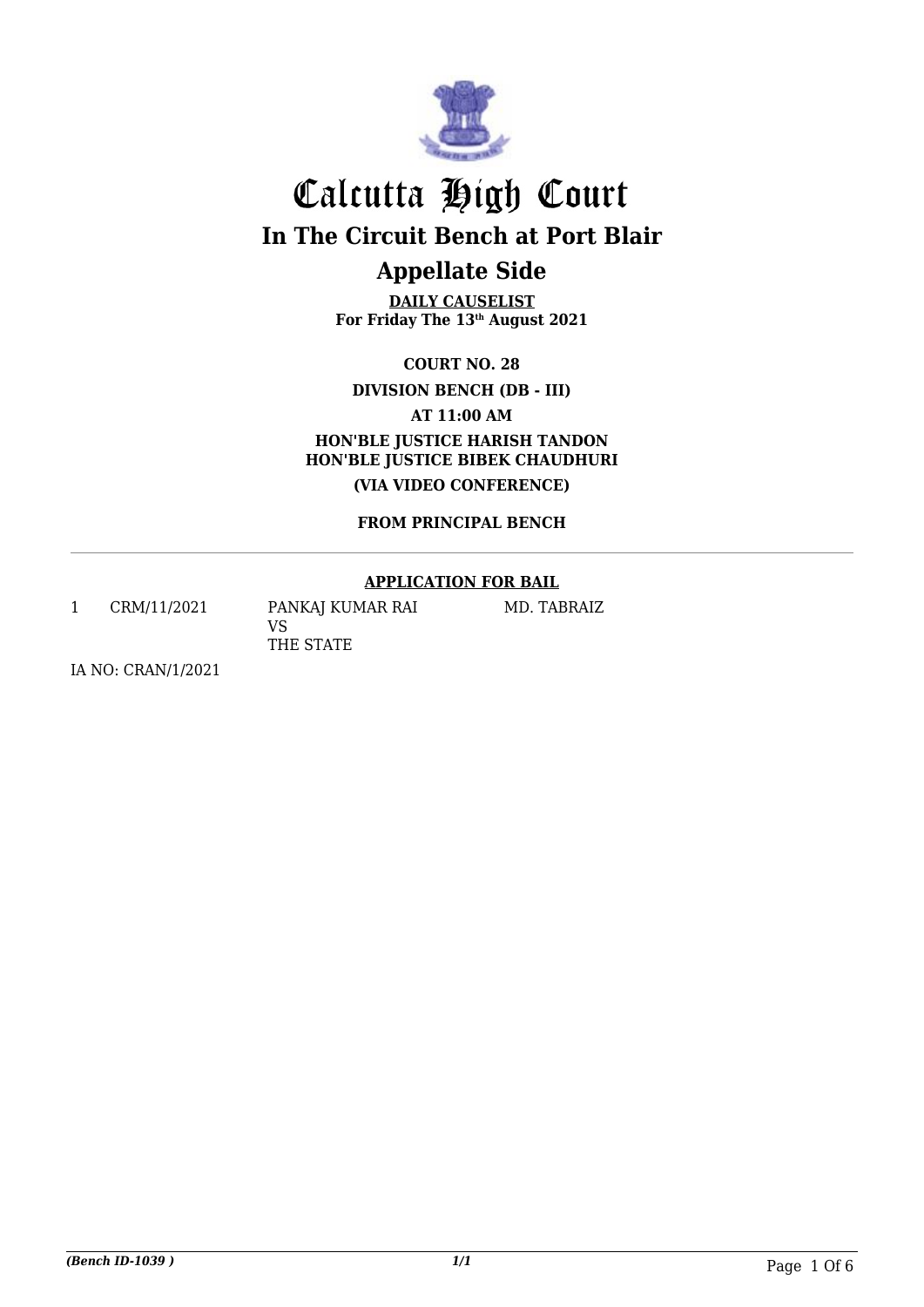

**DAILY CAUSELIST For Friday The 13th August 2021**

**COURT NO. 28**

**DIVISION BENCH (DB - III)**

**AT 11:00 AM**

**HON'BLE JUSTICE HARISH TANDON HON'BLE JUSTICE BIBEK CHAUDHURI (VIA VIDEO CONFERENCE)**

**FROM PRINCIPAL BENCH**

#### **APPLICATION FOR BAIL**

1 CRM/11/2021 PANKAJ KUMAR RAI VS THE STATE

MD. TABRAIZ

IA NO: CRAN/1/2021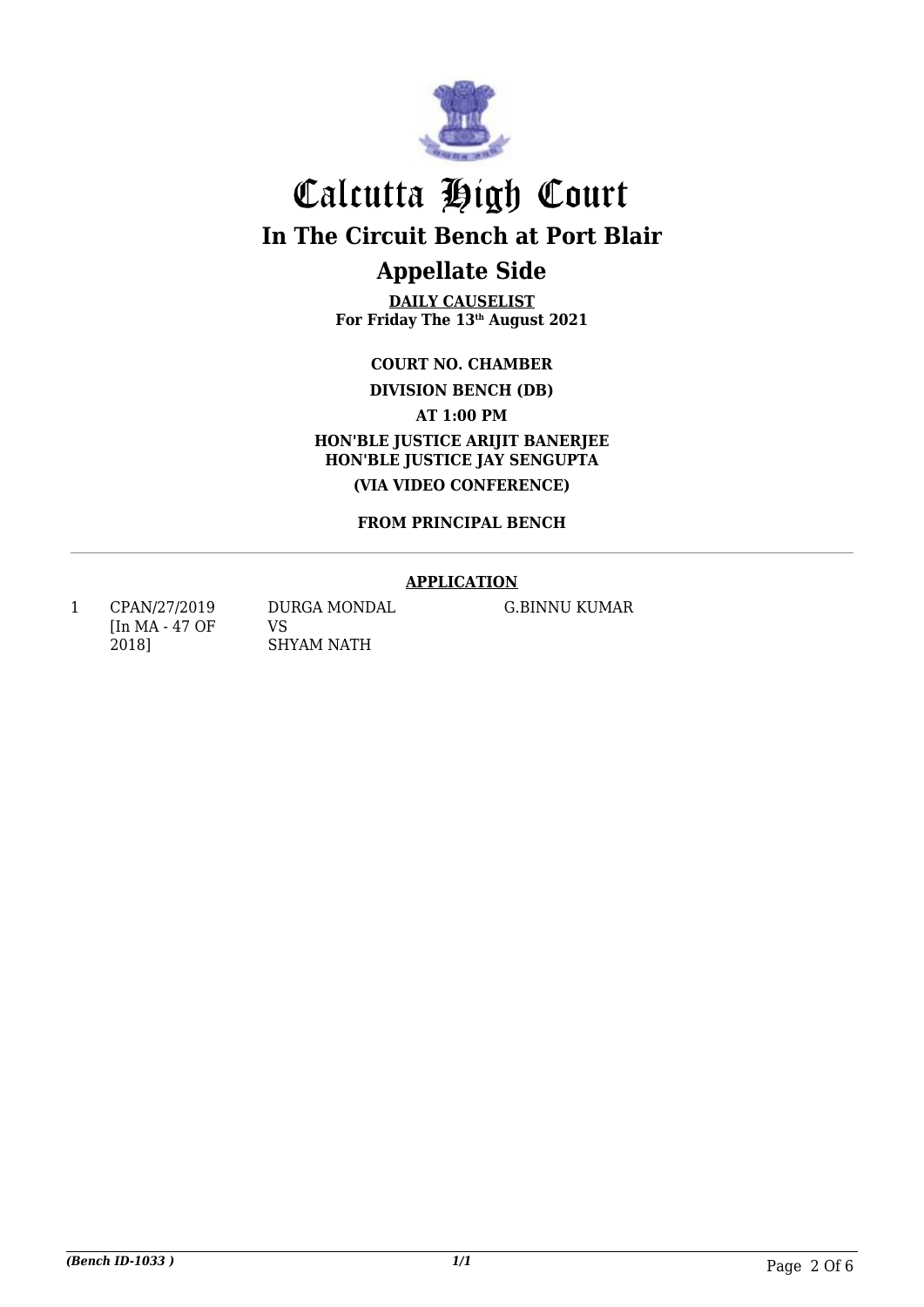

# Calcutta High Court **In The Circuit Bench at Port Blair**

### **Appellate Side DAILY CAUSELIST**

**For Friday The 13th August 2021**

**COURT NO. CHAMBER DIVISION BENCH (DB)**

**AT 1:00 PM**

**HON'BLE JUSTICE ARIJIT BANERJEE HON'BLE JUSTICE JAY SENGUPTA (VIA VIDEO CONFERENCE)**

**FROM PRINCIPAL BENCH**

#### **APPLICATION**

1 CPAN/27/2019 [In MA - 47 OF 2018]

DURGA MONDAL VS SHYAM NATH

G.BINNU KUMAR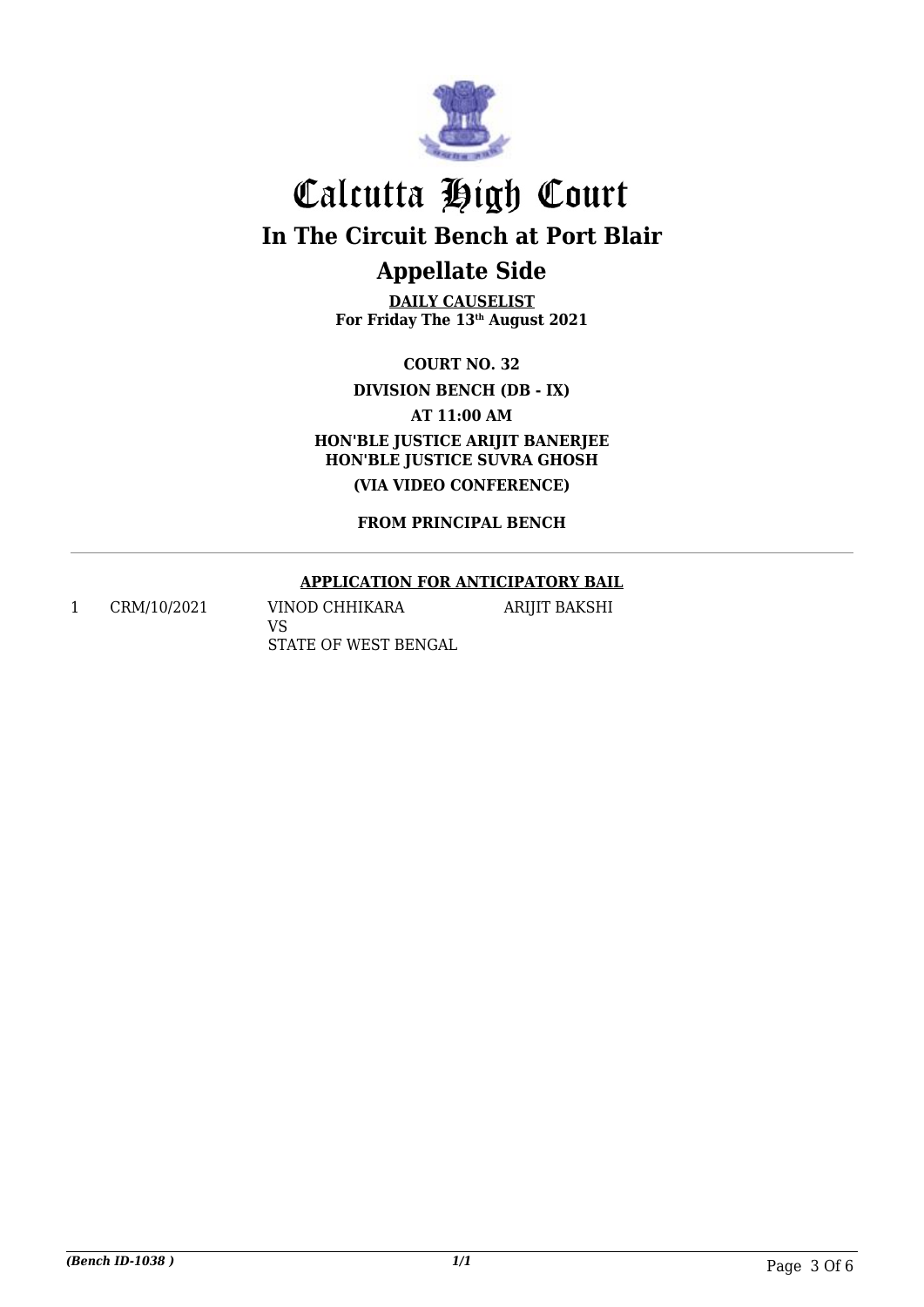

**DAILY CAUSELIST For Friday The 13th August 2021**

**COURT NO. 32 DIVISION BENCH (DB - IX)**

**AT 11:00 AM**

**HON'BLE JUSTICE ARIJIT BANERJEE HON'BLE JUSTICE SUVRA GHOSH (VIA VIDEO CONFERENCE)**

**FROM PRINCIPAL BENCH**

#### **APPLICATION FOR ANTICIPATORY BAIL**

ARIJIT BAKSHI

1 CRM/10/2021 VINOD CHHIKARA VS STATE OF WEST BENGAL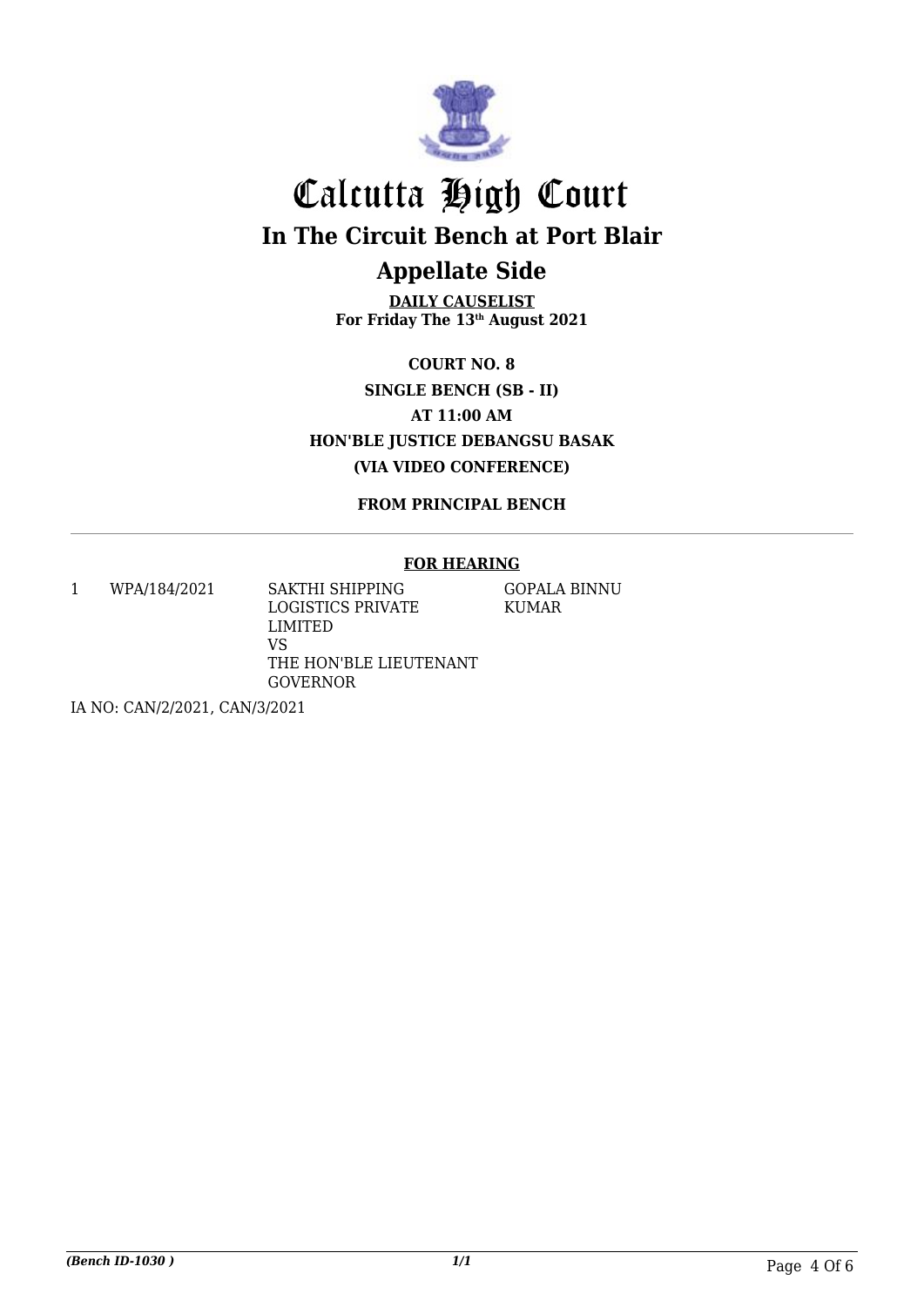

**DAILY CAUSELIST For Friday The 13th August 2021**

**COURT NO. 8 SINGLE BENCH (SB - II) AT 11:00 AM HON'BLE JUSTICE DEBANGSU BASAK (VIA VIDEO CONFERENCE)**

**FROM PRINCIPAL BENCH**

#### **FOR HEARING**

1 WPA/184/2021 SAKTHI SHIPPING

LOGISTICS PRIVATE LIMITED VS THE HON'BLE LIEUTENANT GOVERNOR

GOPALA BINNU KUMAR

IA NO: CAN/2/2021, CAN/3/2021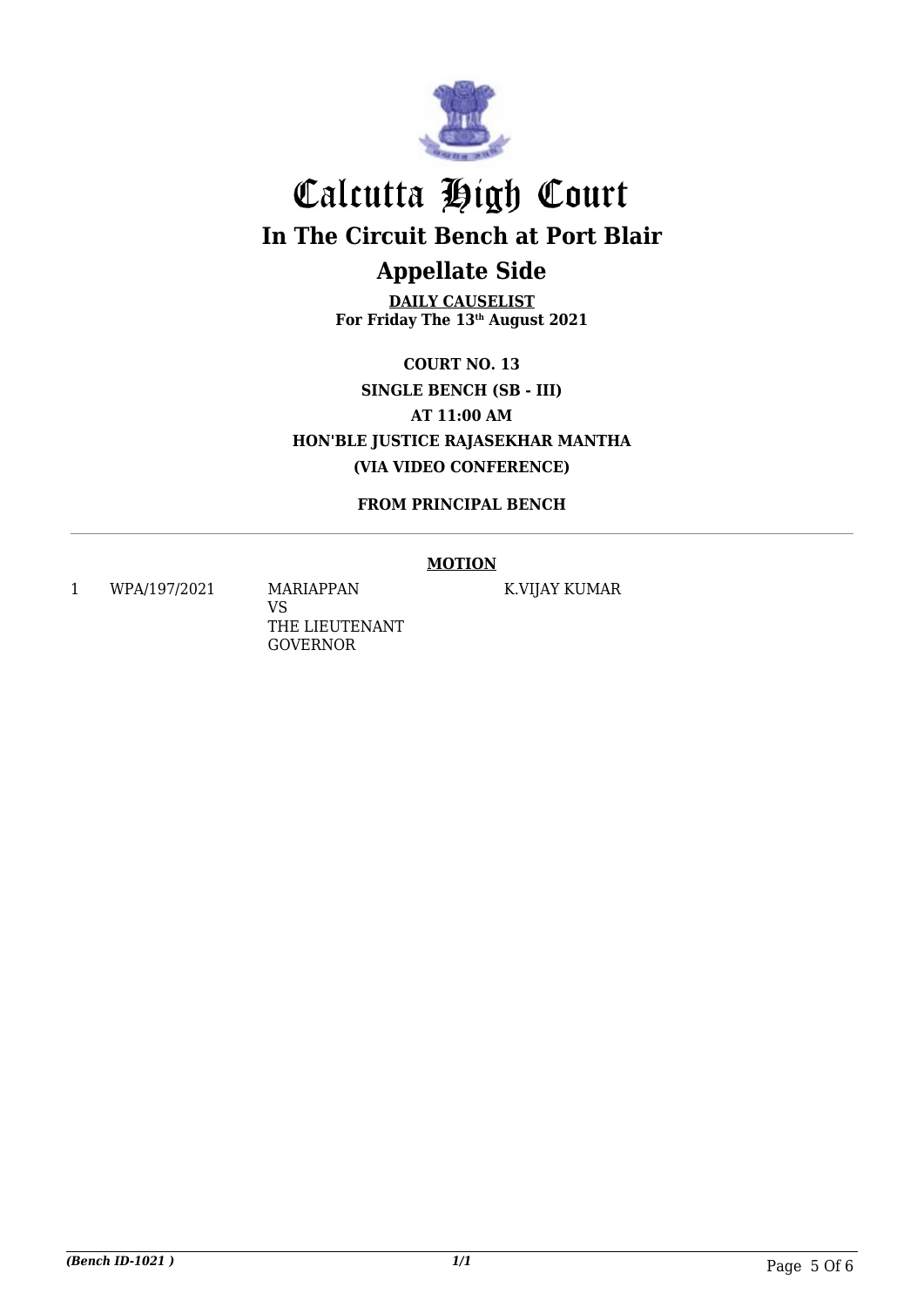

**DAILY CAUSELIST For Friday The 13th August 2021**

**COURT NO. 13 SINGLE BENCH (SB - III) AT 11:00 AM HON'BLE JUSTICE RAJASEKHAR MANTHA (VIA VIDEO CONFERENCE)**

**FROM PRINCIPAL BENCH**

#### **MOTION**

1 WPA/197/2021 MARIAPPAN

VS THE LIEUTENANT GOVERNOR

K.VIJAY KUMAR